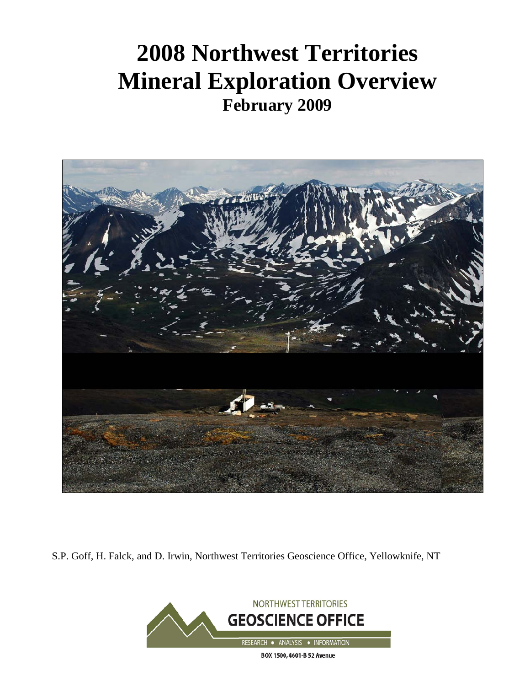# **2008 Northwest Territories Mineral Exploration Overview February 2009**



S.P. Goff, H. Falck, and D. Irwin, Northwest Territories Geoscience Office, Yellowknife, NT

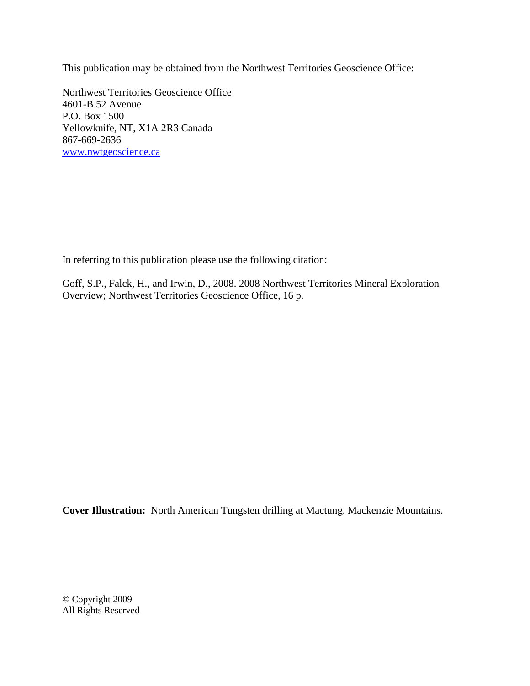This publication may be obtained from the Northwest Territories Geoscience Office:

Northwest Territories Geoscience Office 4601-B 52 Avenue P.O. Box 1500 Yellowknife, NT, X1A 2R3 Canada 867-669-2636 [www.nwtgeoscience.ca](http://www.nwtgeoscience.ca/)

In referring to this publication please use the following citation:

Goff, S.P., Falck, H., and Irwin, D., 2008. 2008 Northwest Territories Mineral Exploration Overview; Northwest Territories Geoscience Office, 16 p.

**Cover Illustration:** North American Tungsten drilling at Mactung, Mackenzie Mountains.

© Copyright 2009 All Rights Reserved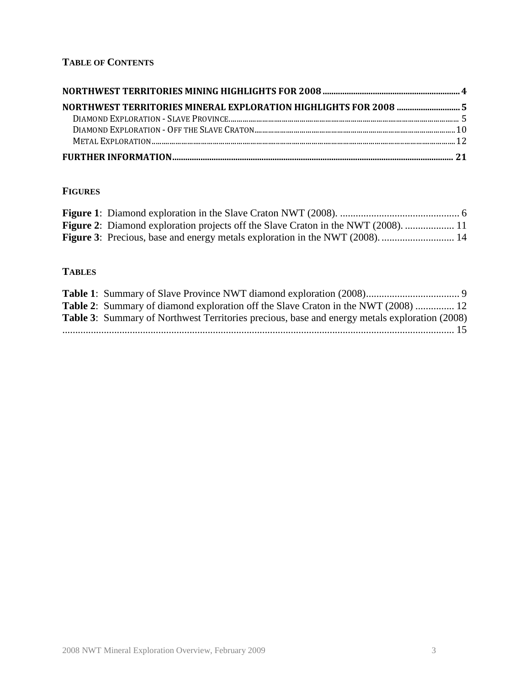# **TABLE OF CONTENTS**

## **FIGURES**

| <b>Figure 2:</b> Diamond exploration projects off the Slave Craton in the NWT (2008).  11 |  |
|-------------------------------------------------------------------------------------------|--|
|                                                                                           |  |

## **TABLES**

| <b>Table 2:</b> Summary of diamond exploration off the Slave Craton in the NWT (2008)  12            |  |
|------------------------------------------------------------------------------------------------------|--|
| <b>Table 3:</b> Summary of Northwest Territories precious, base and energy metals exploration (2008) |  |
|                                                                                                      |  |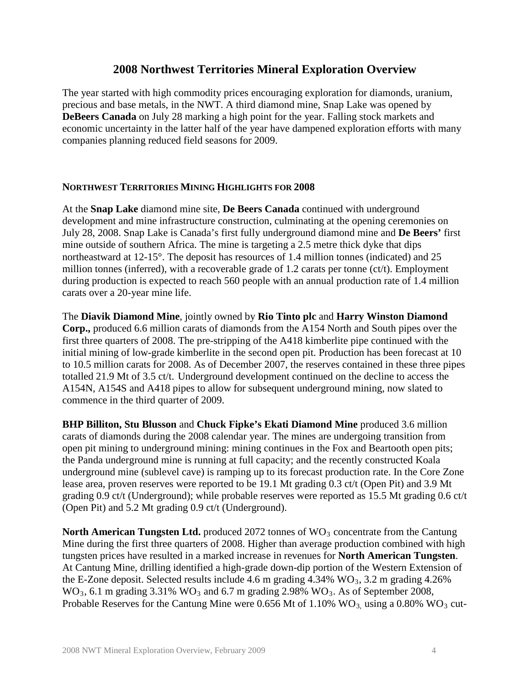# **2008 Northwest Territories Mineral Exploration Overview**

The year started with high commodity prices encouraging exploration for diamonds, uranium, precious and base metals, in the NWT. A third diamond mine, Snap Lake was opened by **DeBeers Canada** on July 28 marking a high point for the year. Falling stock markets and economic uncertainty in the latter half of the year have dampened exploration efforts with many companies planning reduced field seasons for 2009.

#### **NORTHWEST TERRITORIES MINING HIGHLIGHTS FOR 2008**

At the **Snap Lake** diamond mine site, **De Beers Canada** continued with underground development and mine infrastructure construction, culminating at the opening ceremonies on July 28, 2008. Snap Lake is Canada's first fully underground diamond mine and **De Beers'** first mine outside of southern Africa. The mine is targeting a 2.5 metre thick dyke that dips northeastward at 12-15°. The deposit has resources of 1.4 million tonnes (indicated) and 25 million tonnes (inferred), with a recoverable grade of 1.2 carats per tonne (ct/t). Employment during production is expected to reach 560 people with an annual production rate of 1.4 million carats over a 20-year mine life.

The **Diavik Diamond Mine**, jointly owned by **Rio Tinto plc** and **Harry Winston Diamond Corp.,** produced 6.6 million carats of diamonds from the A154 North and South pipes over the first three quarters of 2008. The pre-stripping of the A418 kimberlite pipe continued with the initial mining of low-grade kimberlite in the second open pit. Production has been forecast at 10 to 10.5 million carats for 2008. As of December 2007, the reserves contained in these three pipes totalled 21.9 Mt of 3.5 ct/t. Underground development continued on the decline to access the A154N, A154S and A418 pipes to allow for subsequent underground mining, now slated to commence in the third quarter of 2009.

**BHP Billiton, Stu Blusson** and **Chuck Fipke's Ekati Diamond Mine** produced 3.6 million carats of diamonds during the 2008 calendar year. The mines are undergoing transition from open pit mining to underground mining: mining continues in the Fox and Beartooth open pits; the Panda underground mine is running at full capacity; and the recently constructed Koala underground mine (sublevel cave) is ramping up to its forecast production rate. In the Core Zone lease area, proven reserves were reported to be 19.1 Mt grading 0.3 ct/t (Open Pit) and 3.9 Mt grading 0.9 ct/t (Underground); while probable reserves were reported as 15.5 Mt grading 0.6 ct/t (Open Pit) and 5.2 Mt grading 0.9 ct/t (Underground).

**North American Tungsten Ltd.** produced 2072 tonnes of WO<sub>3</sub> concentrate from the Cantung Mine during the first three quarters of 2008. Higher than average production combined with high tungsten prices have resulted in a marked increase in revenues for **North American Tungsten**. At Cantung Mine, drilling identified a high-grade down-dip portion of the Western Extension of the E-Zone deposit. Selected results include 4.6 m grading  $4.34\%$  WO<sub>3</sub>, 3.2 m grading  $4.26\%$  $WO_3$ , 6.1 m grading 3.31%  $WO_3$  and 6.7 m grading 2.98%  $WO_3$ . As of September 2008, Probable Reserves for the Cantung Mine were  $0.656$  Mt of  $1.10\%$  WO<sub>3</sub>, using a  $0.80\%$  WO<sub>3</sub> cut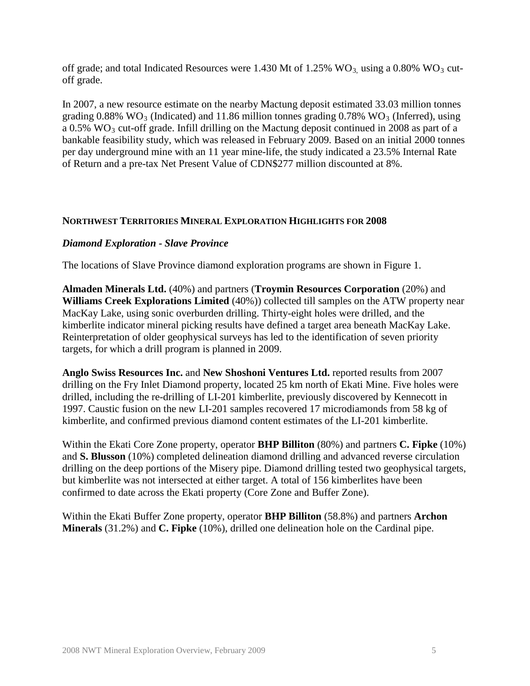off grade; and total Indicated Resources were 1.430 Mt of 1.25%  $WO_3$  using a 0.80%  $WO_3$  cutoff grade.

In 2007, a new resource estimate on the nearby Mactung deposit estimated 33.03 million tonnes grading  $0.88\%$  WO<sub>3</sub> (Indicated) and 11.86 million tonnes grading  $0.78\%$  WO<sub>3</sub> (Inferred), using a  $0.5\%$  WO<sub>3</sub> cut-off grade. Infill drilling on the Mactung deposit continued in 2008 as part of a bankable feasibility study, which was released in February 2009. Based on an initial 2000 tonnes per day underground mine with an 11 year mine-life, the study indicated a 23.5% Internal Rate of Return and a pre-tax Net Present Value of CDN\$277 million discounted at 8%.

#### **NORTHWEST TERRITORIES MINERAL EXPLORATION HIGHLIGHTS FOR 2008**

#### *Diamond Exploration - Slave Province*

The locations of Slave Province diamond exploration programs are shown in Figure 1.

**Almaden Minerals Ltd.** (40%) and partners (**Troymin Resources Corporation** (20%) and **Williams Creek Explorations Limited** (40%)) collected till samples on the ATW property near MacKay Lake, using sonic overburden drilling. Thirty-eight holes were drilled, and the kimberlite indicator mineral picking results have defined a target area beneath MacKay Lake. Reinterpretation of older geophysical surveys has led to the identification of seven priority targets, for which a drill program is planned in 2009.

**Anglo Swiss Resources Inc.** and **New Shoshoni Ventures Ltd.** reported results from 2007 drilling on the Fry Inlet Diamond property, located 25 km north of Ekati Mine. Five holes were drilled, including the re-drilling of LI-201 kimberlite, previously discovered by Kennecott in 1997. Caustic fusion on the new LI-201 samples recovered 17 microdiamonds from 58 kg of kimberlite, and confirmed previous diamond content estimates of the LI-201 kimberlite.

Within the Ekati Core Zone property, operator **BHP Billiton** (80%) and partners **C. Fipke** (10%) and **S. Blusson** (10%) completed delineation diamond drilling and advanced reverse circulation drilling on the deep portions of the Misery pipe. Diamond drilling tested two geophysical targets, but kimberlite was not intersected at either target. A total of 156 kimberlites have been confirmed to date across the Ekati property (Core Zone and Buffer Zone).

Within the Ekati Buffer Zone property, operator **BHP Billiton** (58.8%) and partners **Archon Minerals** (31.2%) and **C. Fipke** (10%), drilled one delineation hole on the Cardinal pipe.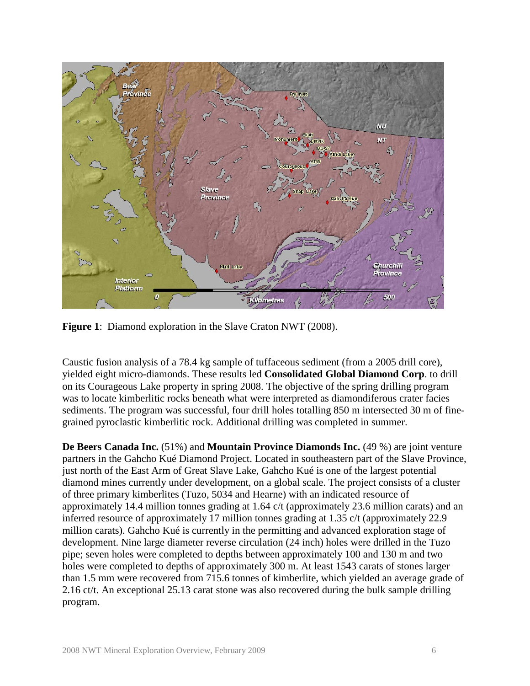

**Figure 1**: Diamond exploration in the Slave Craton NWT (2008).

Caustic fusion analysis of a 78.4 kg sample of tuffaceous sediment (from a 2005 drill core), yielded eight micro-diamonds. These results led **Consolidated Global Diamond Corp**. to drill on its Courageous Lake property in spring 2008. The objective of the spring drilling program was to locate kimberlitic rocks beneath what were interpreted as diamondiferous crater facies sediments. The program was successful, four drill holes totalling 850 m intersected 30 m of finegrained pyroclastic kimberlitic rock. Additional drilling was completed in summer.

**De Beers Canada Inc.** (51%) and **Mountain Province Diamonds Inc.** (49 %) are joint venture partners in the Gahcho Kué Diamond Project. Located in southeastern part of the Slave Province, just north of the East Arm of Great Slave Lake, Gahcho Kué is one of the largest potential diamond mines currently under development, on a global scale. The project consists of a cluster of three primary kimberlites (Tuzo, 5034 and Hearne) with an indicated resource of approximately 14.4 million tonnes grading at 1.64 c/t (approximately 23.6 million carats) and an inferred resource of approximately 17 million tonnes grading at 1.35 c/t (approximately 22.9 million carats). Gahcho Kué is currently in the permitting and advanced exploration stage of development. Nine large diameter reverse circulation (24 inch) holes were drilled in the Tuzo pipe; seven holes were completed to depths between approximately 100 and 130 m and two holes were completed to depths of approximately 300 m. At least 1543 carats of stones larger than 1.5 mm were recovered from 715.6 tonnes of kimberlite, which yielded an average grade of 2.16 ct/t. An exceptional 25.13 carat stone was also recovered during the bulk sample drilling program.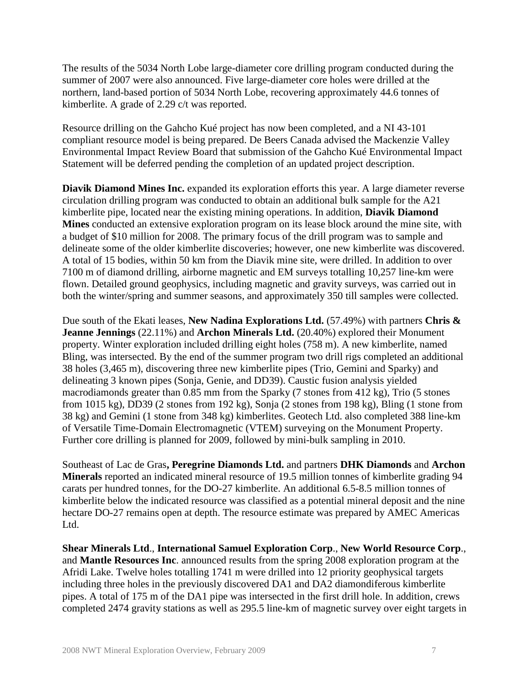The results of the 5034 North Lobe large-diameter core drilling program conducted during the summer of 2007 were also announced. Five large-diameter core holes were drilled at the northern, land-based portion of 5034 North Lobe, recovering approximately 44.6 tonnes of kimberlite. A grade of 2.29 c/t was reported.

Resource drilling on the Gahcho Kué project has now been completed, and a NI 43-101 compliant resource model is being prepared. De Beers Canada advised the Mackenzie Valley Environmental Impact Review Board that submission of the Gahcho Kué Environmental Impact Statement will be deferred pending the completion of an updated project description.

**Diavik Diamond Mines Inc.** expanded its exploration efforts this year. A large diameter reverse circulation drilling program was conducted to obtain an additional bulk sample for the A21 kimberlite pipe, located near the existing mining operations. In addition, **Diavik Diamond Mines** conducted an extensive exploration program on its lease block around the mine site, with a budget of \$10 million for 2008. The primary focus of the drill program was to sample and delineate some of the older kimberlite discoveries; however, one new kimberlite was discovered. A total of 15 bodies, within 50 km from the Diavik mine site, were drilled. In addition to over 7100 m of diamond drilling, airborne magnetic and EM surveys totalling 10,257 line-km were flown. Detailed ground geophysics, including magnetic and gravity surveys, was carried out in both the winter/spring and summer seasons, and approximately 350 till samples were collected.

Due south of the Ekati leases, **New Nadina Explorations Ltd.** (57.49%) with partners **Chris & Jeanne Jennings** (22.11%) and **Archon Minerals Ltd.** (20.40%) explored their Monument property. Winter exploration included drilling eight holes (758 m). A new kimberlite, named Bling, was intersected. By the end of the summer program two drill rigs completed an additional 38 holes (3,465 m), discovering three new kimberlite pipes (Trio, Gemini and Sparky) and delineating 3 known pipes (Sonja, Genie, and DD39). Caustic fusion analysis yielded macrodiamonds greater than 0.85 mm from the Sparky (7 stones from 412 kg), Trio (5 stones from 1015 kg), DD39 (2 stones from 192 kg), Sonja (2 stones from 198 kg), Bling (1 stone from 38 kg) and Gemini (1 stone from 348 kg) kimberlites. Geotech Ltd. also completed 388 line-km of Versatile Time-Domain Electromagnetic (VTEM) surveying on the Monument Property. Further core drilling is planned for 2009, followed by mini-bulk sampling in 2010.

Southeast of Lac de Gras**, Peregrine Diamonds Ltd.** and partners **DHK Diamonds** and **Archon Minerals** reported an indicated mineral resource of 19.5 million tonnes of kimberlite grading 94 carats per hundred tonnes, for the DO-27 kimberlite. An additional 6.5-8.5 million tonnes of kimberlite below the indicated resource was classified as a potential mineral deposit and the nine hectare DO-27 remains open at depth. The resource estimate was prepared by AMEC Americas Ltd.

**Shear Minerals Ltd**., **International Samuel Exploration Corp**., **New World Resource Corp**., and **Mantle Resources Inc**. announced results from the spring 2008 exploration program at the Afridi Lake. Twelve holes totalling 1741 m were drilled into 12 priority geophysical targets including three holes in the previously discovered DA1 and DA2 diamondiferous kimberlite pipes. A total of 175 m of the DA1 pipe was intersected in the first drill hole. In addition, crews completed 2474 gravity stations as well as 295.5 line-km of magnetic survey over eight targets in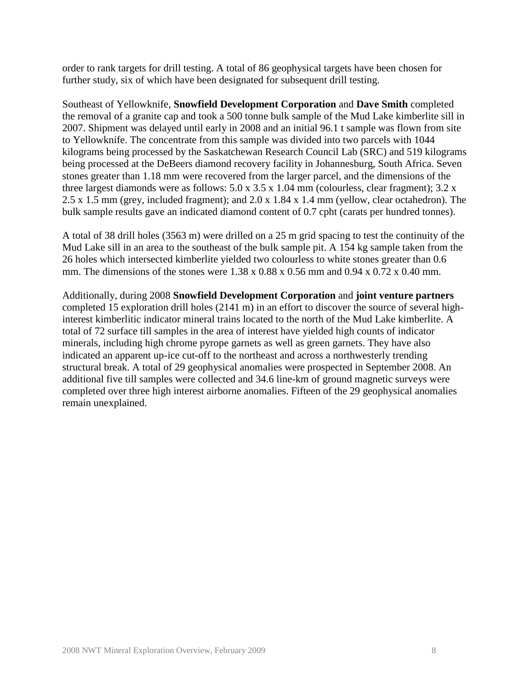order to rank targets for drill testing. A total of 86 geophysical targets have been chosen for further study, six of which have been designated for subsequent drill testing.

Southeast of Yellowknife, **Snowfield Development Corporation** and **Dave Smith** completed the removal of a granite cap and took a 500 tonne bulk sample of the Mud Lake kimberlite sill in 2007. Shipment was delayed until early in 2008 and an initial 96.1 t sample was flown from site to Yellowknife. The concentrate from this sample was divided into two parcels with 1044 kilograms being processed by the Saskatchewan Research Council Lab (SRC) and 519 kilograms being processed at the DeBeers diamond recovery facility in Johannesburg, South Africa. Seven stones greater than 1.18 mm were recovered from the larger parcel, and the dimensions of the three largest diamonds were as follows:  $5.0 \times 3.5 \times 1.04 \text{ mm}$  (colourless, clear fragment);  $3.2 \times$ 2.5 x 1.5 mm (grey, included fragment); and 2.0 x 1.84 x 1.4 mm (yellow, clear octahedron). The bulk sample results gave an indicated diamond content of 0.7 cpht (carats per hundred tonnes).

A total of 38 drill holes (3563 m) were drilled on a 25 m grid spacing to test the continuity of the Mud Lake sill in an area to the southeast of the bulk sample pit. A 154 kg sample taken from the 26 holes which intersected kimberlite yielded two colourless to white stones greater than 0.6 mm. The dimensions of the stones were  $1.38 \times 0.88 \times 0.56$  mm and  $0.94 \times 0.72 \times 0.40$  mm.

Additionally, during 2008 **Snowfield Development Corporation** and **joint venture partners**  completed 15 exploration drill holes (2141 m) in an effort to discover the source of several highinterest kimberlitic indicator mineral trains located to the north of the Mud Lake kimberlite. A total of 72 surface till samples in the area of interest have yielded high counts of indicator minerals, including high chrome pyrope garnets as well as green garnets. They have also indicated an apparent up-ice cut-off to the northeast and across a northwesterly trending structural break. A total of 29 geophysical anomalies were prospected in September 2008. An additional five till samples were collected and 34.6 line-km of ground magnetic surveys were completed over three high interest airborne anomalies. Fifteen of the 29 geophysical anomalies remain unexplained.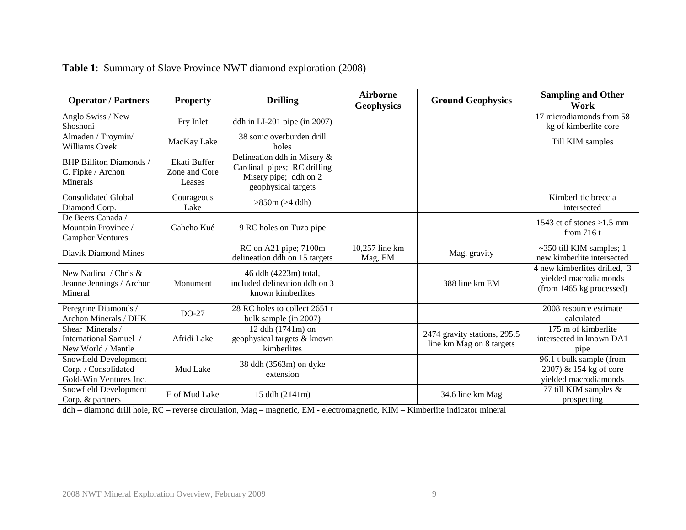| <b>Operator / Partners</b><br><b>Property</b>                           |                                         | <b>Drilling</b>                                                                                            | <b>Airborne</b><br><b>Geophysics</b> | <b>Ground Geophysics</b>                                 | <b>Sampling and Other</b><br>Work                                                 |
|-------------------------------------------------------------------------|-----------------------------------------|------------------------------------------------------------------------------------------------------------|--------------------------------------|----------------------------------------------------------|-----------------------------------------------------------------------------------|
| Anglo Swiss / New<br>Shoshoni                                           | Fry Inlet                               | ddh in $LI-201$ pipe (in 2007)                                                                             |                                      |                                                          | 17 microdiamonds from 58<br>kg of kimberlite core                                 |
| Almaden / Troymin/<br>Williams Creek                                    | MacKay Lake                             | 38 sonic overburden drill<br>holes                                                                         |                                      |                                                          | Till KIM samples                                                                  |
| <b>BHP Billiton Diamonds /</b><br>C. Fipke / Archon<br>Minerals         | Ekati Buffer<br>Zone and Core<br>Leases | Delineation ddh in Misery &<br>Cardinal pipes; RC drilling<br>Misery pipe; ddh on 2<br>geophysical targets |                                      |                                                          |                                                                                   |
| <b>Consolidated Global</b><br>Diamond Corp.                             | Courageous<br>Lake                      | $>850m (>4$ ddh)                                                                                           |                                      |                                                          | Kimberlitic breccia<br>intersected                                                |
| De Beers Canada /<br>Mountain Province /<br><b>Camphor Ventures</b>     | Gahcho Kué                              | 9 RC holes on Tuzo pipe                                                                                    |                                      |                                                          | 1543 ct of stones $>1.5$ mm<br>from $716t$                                        |
| Diavik Diamond Mines                                                    |                                         | RC on A21 pipe; 7100m<br>delineation ddh on 15 targets                                                     | 10,257 line km<br>Mag, EM            | Mag, gravity                                             | $\sim$ 350 till KIM samples; 1<br>new kimberlite intersected                      |
| New Nadina / Chris $\&$<br>Jeanne Jennings / Archon<br>Mineral          | Monument                                | 46 ddh (4223m) total,<br>included delineation ddh on 3<br>known kimberlites                                |                                      | 388 line km EM                                           | 4 new kimberlites drilled, 3<br>yielded macrodiamonds<br>(from 1465 kg processed) |
| Peregrine Diamonds /<br>Archon Minerals / DHK                           | $DO-27$                                 | 28 RC holes to collect 2651 t<br>bulk sample (in 2007)                                                     |                                      |                                                          | 2008 resource estimate<br>calculated                                              |
| Shear Minerals /<br>International Samuel /<br>New World / Mantle        | Afridi Lake                             | 12 ddh (1741m) on<br>geophysical targets & known<br>kimberlites                                            |                                      | 2474 gravity stations, 295.5<br>line km Mag on 8 targets | 175 m of kimberlite<br>intersected in known DA1<br>pipe                           |
| Snowfield Development<br>Corp. / Consolidated<br>Gold-Win Ventures Inc. | Mud Lake                                | 38 ddh (3563m) on dyke<br>extension                                                                        |                                      |                                                          | 96.1 t bulk sample (from<br>2007) & 154 kg of core<br>vielded macrodiamonds       |
| Snowfield Development<br>Corp. & partners                               | E of Mud Lake                           | 15 ddh (2141m)                                                                                             |                                      | 34.6 line km Mag                                         | 77 till KIM samples &<br>prospecting                                              |

# **Table 1**: Summary of Slave Province NWT diamond exploration (2008)

ddh – diamond drill hole, RC – reverse circulation, Mag – magnetic, EM - electromagnetic, KIM – Kimberlite indicator mineral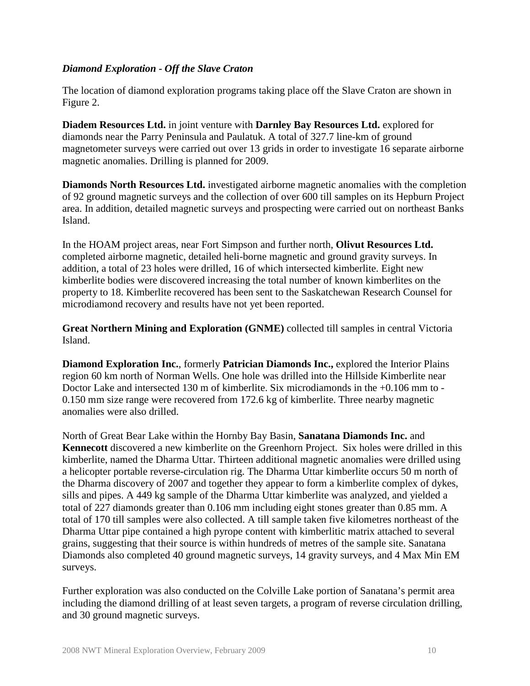#### *Diamond Exploration - Off the Slave Craton*

The location of diamond exploration programs taking place off the Slave Craton are shown in Figure 2.

**Diadem Resources Ltd.** in joint venture with **Darnley Bay Resources Ltd.** explored for diamonds near the Parry Peninsula and Paulatuk. A total of 327.7 line-km of ground magnetometer surveys were carried out over 13 grids in order to investigate 16 separate airborne magnetic anomalies. Drilling is planned for 2009.

**Diamonds North Resources Ltd.** investigated airborne magnetic anomalies with the completion of 92 ground magnetic surveys and the collection of over 600 till samples on its Hepburn Project area. In addition, detailed magnetic surveys and prospecting were carried out on northeast Banks Island.

In the HOAM project areas, near Fort Simpson and further north, **Olivut Resources Ltd.** completed airborne magnetic, detailed heli-borne magnetic and ground gravity surveys. In addition, a total of 23 holes were drilled, 16 of which intersected kimberlite. Eight new kimberlite bodies were discovered increasing the total number of known kimberlites on the property to 18. Kimberlite recovered has been sent to the Saskatchewan Research Counsel for microdiamond recovery and results have not yet been reported.

**Great Northern Mining and Exploration (GNME)** collected till samples in central Victoria Island.

**Diamond Exploration Inc.**, formerly **Patrician Diamonds Inc.,** explored the Interior Plains region 60 km north of Norman Wells. One hole was drilled into the Hillside Kimberlite near Doctor Lake and intersected 130 m of kimberlite. Six microdiamonds in the +0.106 mm to - 0.150 mm size range were recovered from 172.6 kg of kimberlite. Three nearby magnetic anomalies were also drilled.

North of Great Bear Lake within the Hornby Bay Basin, **Sanatana Diamonds Inc.** and **Kennecott** discovered a new kimberlite on the Greenhorn Project. Six holes were drilled in this kimberlite, named the Dharma Uttar. Thirteen additional magnetic anomalies were drilled using a helicopter portable reverse-circulation rig. The Dharma Uttar kimberlite occurs 50 m north of the Dharma discovery of 2007 and together they appear to form a kimberlite complex of dykes, sills and pipes. A 449 kg sample of the Dharma Uttar kimberlite was analyzed, and yielded a total of 227 diamonds greater than 0.106 mm including eight stones greater than 0.85 mm. A total of 170 till samples were also collected. A till sample taken five kilometres northeast of the Dharma Uttar pipe contained a high pyrope content with kimberlitic matrix attached to several grains, suggesting that their source is within hundreds of metres of the sample site. Sanatana Diamonds also completed 40 ground magnetic surveys, 14 gravity surveys, and 4 Max Min EM surveys.

Further exploration was also conducted on the Colville Lake portion of Sanatana's permit area including the diamond drilling of at least seven targets, a program of reverse circulation drilling, and 30 ground magnetic surveys.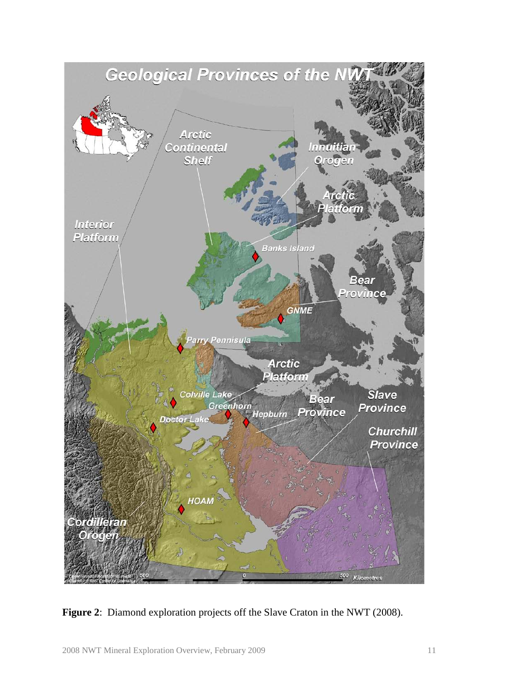

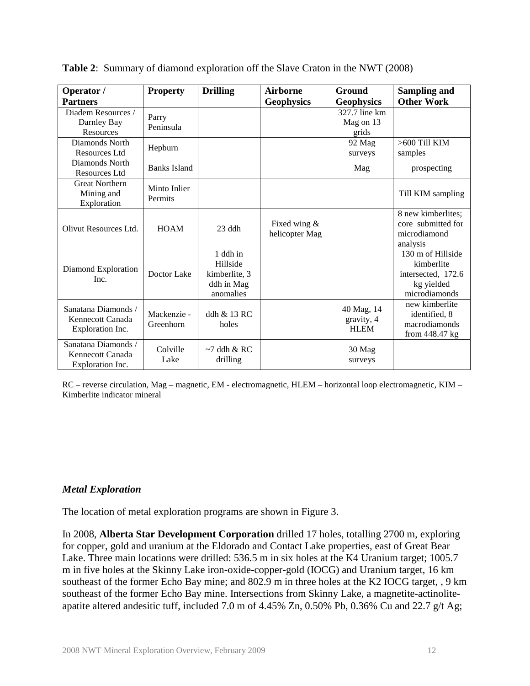| Operator /                                                  | <b>Property</b>          | <b>Drilling</b>                                                  | <b>Airborne</b>                | Ground                                  | <b>Sampling and</b>                                                                  |
|-------------------------------------------------------------|--------------------------|------------------------------------------------------------------|--------------------------------|-----------------------------------------|--------------------------------------------------------------------------------------|
| <b>Partners</b>                                             |                          |                                                                  | <b>Geophysics</b>              | <b>Geophysics</b>                       | <b>Other Work</b>                                                                    |
| Diadem Resources /<br>Darnley Bay<br>Resources              | Parry<br>Peninsula       |                                                                  |                                | 327.7 line km<br>Mag on 13<br>grids     |                                                                                      |
| Diamonds North<br>Resources Ltd                             | Hepburn                  |                                                                  |                                | 92 Mag<br>surveys                       | $>600$ Till KIM<br>samples                                                           |
| Diamonds North<br>Resources Ltd                             | <b>Banks Island</b>      |                                                                  |                                | Mag                                     | prospecting                                                                          |
| <b>Great Northern</b><br>Mining and<br>Exploration          | Minto Inlier<br>Permits  |                                                                  |                                |                                         | Till KIM sampling                                                                    |
| Olivut Resources Ltd.                                       | <b>HOAM</b>              | $23$ ddh                                                         | Fixed wing &<br>helicopter Mag |                                         | 8 new kimberlites;<br>core submitted for<br>microdiamond<br>analysis                 |
| Diamond Exploration<br>Inc.                                 | Doctor Lake              | 1 ddh in<br>Hillside<br>kimberlite, 3<br>ddh in Mag<br>anomalies |                                |                                         | 130 m of Hillside<br>kimberlite<br>intersected, 172.6<br>kg yielded<br>microdiamonds |
| Sanatana Diamonds /<br>Kennecott Canada<br>Exploration Inc. | Mackenzie -<br>Greenhorn | ddh & 13 RC<br>holes                                             |                                | 40 Mag, 14<br>gravity, 4<br><b>HLEM</b> | new kimberlite<br>identified, 8<br>macrodiamonds<br>from 448.47 kg                   |
| Sanatana Diamonds /<br>Kennecott Canada<br>Exploration Inc. | Colville<br>Lake         | $~1$ ddh & RC<br>drilling                                        |                                | 30 Mag<br>surveys                       |                                                                                      |

**Table 2**: Summary of diamond exploration off the Slave Craton in the NWT (2008)

RC – reverse circulation, Mag – magnetic, EM - electromagnetic, HLEM – horizontal loop electromagnetic, KIM – Kimberlite indicator mineral

#### *Metal Exploration*

The location of metal exploration programs are shown in Figure 3.

In 2008, **Alberta Star Development Corporation** drilled 17 holes, totalling 2700 m, exploring for copper, gold and uranium at the Eldorado and Contact Lake properties, east of Great Bear Lake. Three main locations were drilled: 536.5 m in six holes at the K4 Uranium target; 1005.7 m in five holes at the Skinny Lake iron-oxide-copper-gold (IOCG) and Uranium target, 16 km southeast of the former Echo Bay mine; and 802.9 m in three holes at the K2 IOCG target, , 9 km southeast of the former Echo Bay mine. Intersections from Skinny Lake, a magnetite-actinoliteapatite altered andesitic tuff, included 7.0 m of 4.45% Zn, 0.50% Pb, 0.36% Cu and 22.7 g/t Ag;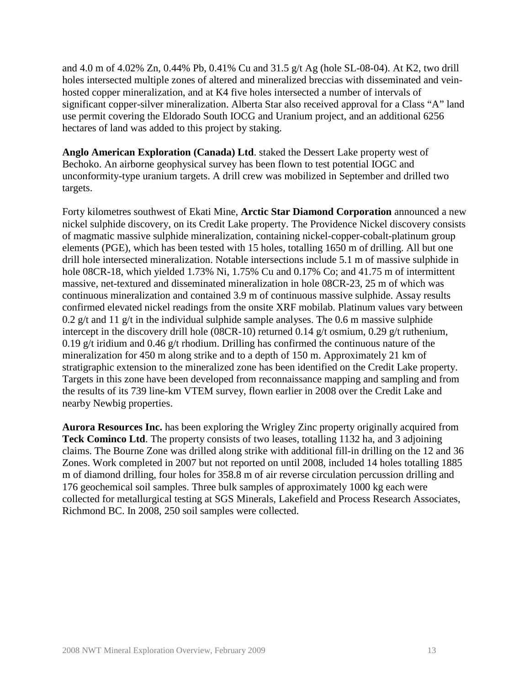and 4.0 m of 4.02% Zn, 0.44% Pb, 0.41% Cu and 31.5 g/t Ag (hole SL-08-04). At K2, two drill holes intersected multiple zones of altered and mineralized breccias with disseminated and veinhosted copper mineralization, and at K4 five holes intersected a number of intervals of significant copper-silver mineralization. Alberta Star also received approval for a Class "A" land use permit covering the Eldorado South IOCG and Uranium project, and an additional 6256 hectares of land was added to this project by staking.

**Anglo American Exploration (Canada) Ltd**. staked the Dessert Lake property west of Bechoko. An airborne geophysical survey has been flown to test potential IOGC and unconformity-type uranium targets. A drill crew was mobilized in September and drilled two targets.

Forty kilometres southwest of Ekati Mine, **Arctic Star Diamond Corporation** announced a new nickel sulphide discovery, on its Credit Lake property. The Providence Nickel discovery consists of magmatic massive sulphide mineralization, containing nickel-copper-cobalt-platinum group elements (PGE), which has been tested with 15 holes, totalling 1650 m of drilling. All but one drill hole intersected mineralization. Notable intersections include 5.1 m of massive sulphide in hole 08CR-18, which yielded 1.73% Ni, 1.75% Cu and 0.17% Co; and 41.75 m of intermittent massive, net-textured and disseminated mineralization in hole 08CR-23, 25 m of which was continuous mineralization and contained 3.9 m of continuous massive sulphide. Assay results confirmed elevated nickel readings from the onsite XRF mobilab. Platinum values vary between 0.2 g/t and 11 g/t in the individual sulphide sample analyses. The 0.6 m massive sulphide intercept in the discovery drill hole (08CR-10) returned 0.14 g/t osmium, 0.29 g/t ruthenium, 0.19 g/t iridium and 0.46 g/t rhodium. Drilling has confirmed the continuous nature of the mineralization for 450 m along strike and to a depth of 150 m. Approximately 21 km of stratigraphic extension to the mineralized zone has been identified on the Credit Lake property. Targets in this zone have been developed from reconnaissance mapping and sampling and from the results of its 739 line-km VTEM survey, flown earlier in 2008 over the Credit Lake and nearby Newbig properties.

**Aurora Resources Inc.** has been exploring the Wrigley Zinc property originally acquired from **Teck Cominco Ltd**. The property consists of two leases, totalling 1132 ha, and 3 adjoining claims. The Bourne Zone was drilled along strike with additional fill-in drilling on the 12 and 36 Zones. Work completed in 2007 but not reported on until 2008, included 14 holes totalling 1885 m of diamond drilling, four holes for 358.8 m of air reverse circulation percussion drilling and 176 geochemical soil samples. Three bulk samples of approximately 1000 kg each were collected for metallurgical testing at SGS Minerals, Lakefield and Process Research Associates, Richmond BC. In 2008, 250 soil samples were collected.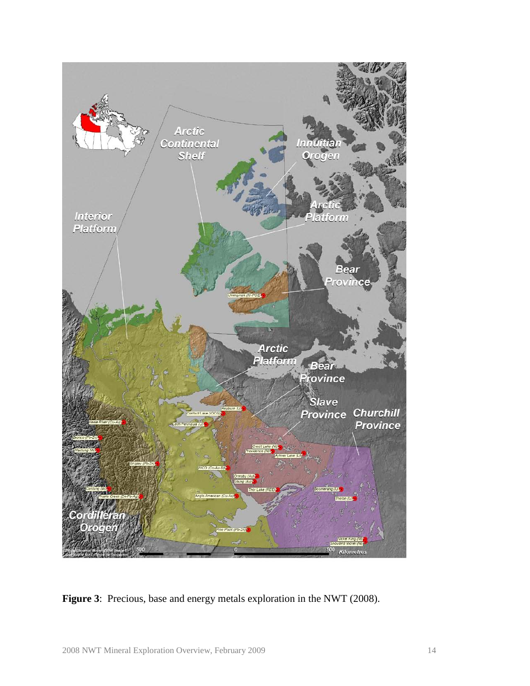

**Figure 3**: Precious, base and energy metals exploration in the NWT (2008).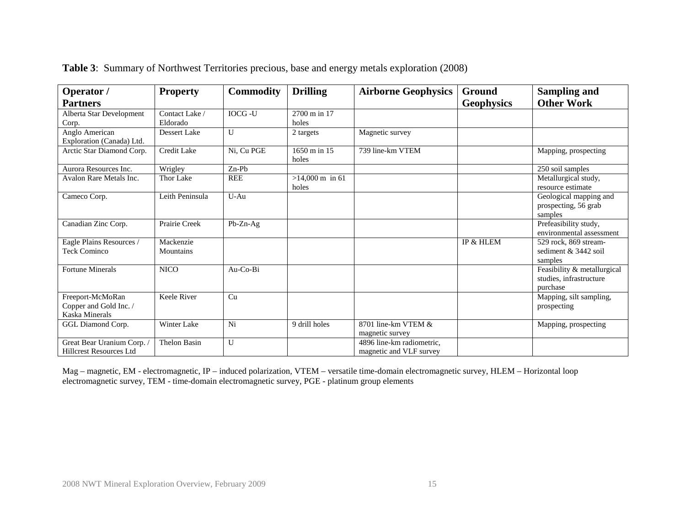| Operator /                                                   | <b>Property</b>        | <b>Commodity</b> | <b>Drilling</b>                    | <b>Airborne Geophysics</b>                           | Ground            | Sampling and                                                       |
|--------------------------------------------------------------|------------------------|------------------|------------------------------------|------------------------------------------------------|-------------------|--------------------------------------------------------------------|
| <b>Partners</b>                                              |                        |                  |                                    |                                                      | <b>Geophysics</b> | <b>Other Work</b>                                                  |
| Alberta Star Development                                     | Contact Lake /         | <b>IOCG-U</b>    | 2700 m in 17                       |                                                      |                   |                                                                    |
| Corp.                                                        | Eldorado               |                  | holes                              |                                                      |                   |                                                                    |
| Anglo American<br>Exploration (Canada) Ltd.                  | Dessert Lake           | $\mathbf{U}$     | 2 targets                          | Magnetic survey                                      |                   |                                                                    |
| Arctic Star Diamond Corp.                                    | <b>Credit Lake</b>     | Ni. Cu PGE       | 1650 m in 15<br>holes              | 739 line-km VTEM                                     |                   | Mapping, prospecting                                               |
| Aurora Resources Inc.                                        | Wrigley                | $Zn-Pb$          |                                    |                                                      |                   | 250 soil samples                                                   |
| Avalon Rare Metals Inc.                                      | Thor Lake              | <b>REE</b>       | $>14,000 \text{ m}$ in 61<br>holes |                                                      |                   | Metallurgical study,<br>resource estimate                          |
| Cameco Corp.                                                 | Leith Peninsula        | U-Au             |                                    |                                                      |                   | Geological mapping and<br>prospecting, 56 grab<br>samples          |
| Canadian Zinc Corp.                                          | Prairie Creek          | Pb-Zn-Ag         |                                    |                                                      |                   | Prefeasibility study,<br>environmental assessment                  |
| Eagle Plains Resources /<br><b>Teck Cominco</b>              | Mackenzie<br>Mountains |                  |                                    |                                                      | IP & HLEM         | 529 rock, 869 stream-<br>sediment & 3442 soil<br>samples           |
| <b>Fortune Minerals</b>                                      | <b>NICO</b>            | Au-Co-Bi         |                                    |                                                      |                   | Feasibility & metallurgical<br>studies, infrastructure<br>purchase |
| Freeport-McMoRan<br>Copper and Gold Inc. /<br>Kaska Minerals | Keele River            | Cu               |                                    |                                                      |                   | Mapping, silt sampling,<br>prospecting                             |
| GGL Diamond Corp.                                            | Winter Lake            | Ni               | 9 drill holes                      | 8701 line-km VTEM $&$<br>magnetic survey             |                   | Mapping, prospecting                                               |
| Great Bear Uranium Corp.<br><b>Hillcrest Resources Ltd</b>   | <b>Thelon Basin</b>    | U                |                                    | 4896 line-km radiometric.<br>magnetic and VLF survey |                   |                                                                    |

**Table 3**: Summary of Northwest Territories precious, base and energy metals exploration (2008)

Mag – magnetic, EM - electromagnetic, IP – induced polarization, VTEM – versatile time-domain electromagnetic survey, HLEM – Horizontal loop electromagnetic survey, TEM - time-domain electromagnetic survey, PGE - platinum group elements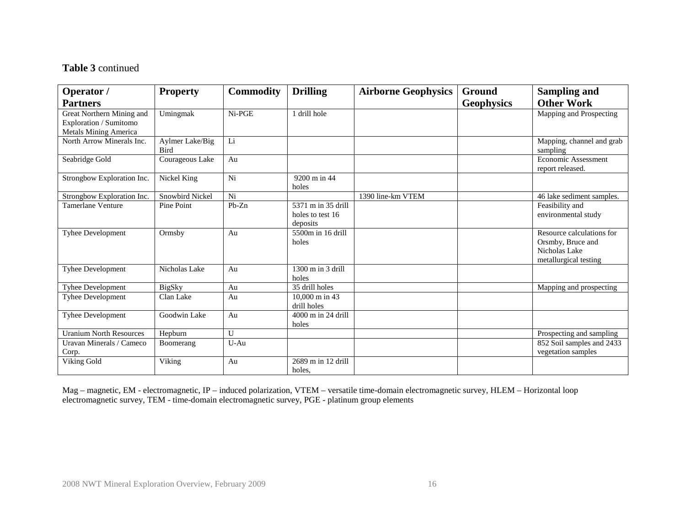## **Table 3** continued

| Operator /                                                                          | <b>Property</b>                | <b>Commodity</b> | <b>Drilling</b>                                    | <b>Airborne Geophysics</b> | Ground            | <b>Sampling and</b>                                                                      |
|-------------------------------------------------------------------------------------|--------------------------------|------------------|----------------------------------------------------|----------------------------|-------------------|------------------------------------------------------------------------------------------|
| <b>Partners</b>                                                                     |                                |                  |                                                    |                            | <b>Geophysics</b> | <b>Other Work</b>                                                                        |
| Great Northern Mining and<br>Exploration / Sumitomo<br><b>Metals Mining America</b> | Umingmak                       | Ni-PGE           | 1 drill hole                                       |                            |                   | Mapping and Prospecting                                                                  |
| North Arrow Minerals Inc.                                                           | Aylmer Lake/Big<br><b>Bird</b> | Li               |                                                    |                            |                   | Mapping, channel and grab<br>sampling                                                    |
| Seabridge Gold                                                                      | Courageous Lake                | Au               |                                                    |                            |                   | Economic Assessment<br>report released.                                                  |
| Strongbow Exploration Inc.                                                          | Nickel King                    | Ni               | 9200 m in 44<br>holes                              |                            |                   |                                                                                          |
| Strongbow Exploration Inc.                                                          | Snowbird Nickel                | Ni               |                                                    | 1390 line-km VTEM          |                   | 46 lake sediment samples.                                                                |
| <b>Tamerlane Venture</b>                                                            | Pine Point                     | $Pb-Zn$          | 5371 m in 35 drill<br>holes to test 16<br>deposits |                            |                   | Feasibility and<br>environmental study                                                   |
| <b>Tyhee Development</b>                                                            | Ormsby                         | Au               | 5500m in 16 drill<br>holes                         |                            |                   | Resource calculations for<br>Orsmby, Bruce and<br>Nicholas Lake<br>metallurgical testing |
| Tyhee Development                                                                   | Nicholas Lake                  | Au               | 1300 m in 3 drill<br>holes                         |                            |                   |                                                                                          |
| Tyhee Development                                                                   | <b>BigSky</b>                  | Au               | 35 drill holes                                     |                            |                   | Mapping and prospecting                                                                  |
| <b>Tyhee Development</b>                                                            | Clan Lake                      | Au               | 10,000 m in 43<br>drill holes                      |                            |                   |                                                                                          |
| <b>Tyhee Development</b>                                                            | Goodwin Lake                   | Au               | 4000 m in 24 drill<br>holes                        |                            |                   |                                                                                          |
| <b>Uranium North Resources</b>                                                      | Hepburn                        | $\mathbf{U}$     |                                                    |                            |                   | Prospecting and sampling                                                                 |
| Uravan Minerals / Cameco<br>Corp.                                                   | Boomerang                      | U-Au             |                                                    |                            |                   | 852 Soil samples and 2433<br>vegetation samples                                          |
| Viking Gold                                                                         | Viking                         | Au               | 2689 m in 12 drill<br>holes,                       |                            |                   |                                                                                          |

Mag – magnetic, EM - electromagnetic, IP – induced polarization, VTEM – versatile time-domain electromagnetic survey, HLEM – Horizontal loop electromagnetic survey, TEM - time-domain electromagnetic survey, PGE - platinum group elements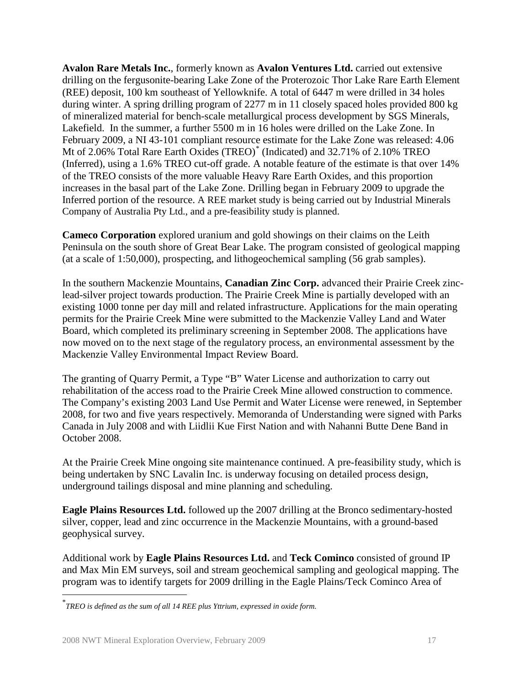**Avalon Rare Metals Inc.**, formerly known as **Avalon Ventures Ltd.** carried out extensive drilling on the fergusonite-bearing Lake Zone of the Proterozoic Thor Lake Rare Earth Element (REE) deposit, 100 km southeast of Yellowknife. A total of 6447 m were drilled in 34 holes during winter. A spring drilling program of 2277 m in 11 closely spaced holes provided 800 kg of mineralized material for bench-scale metallurgical process development by SGS Minerals, Lakefield. In the summer, a further 5500 m in 16 holes were drilled on the Lake Zone. In February 2009, a NI 43-101 compliant resource estimate for the Lake Zone was released: 4.06 Mt of 2.06% Total Rare Earth Oxides (TREO) [\\*](#page-16-0) (Indicated) and 32.71% of 2.10% TREO (Inferred), using a 1.6% TREO cut-off grade. A notable feature of the estimate is that over 14% of the TREO consists of the more valuable Heavy Rare Earth Oxides, and this proportion increases in the basal part of the Lake Zone. Drilling began in February 2009 to upgrade the Inferred portion of the resource. A REE market study is being carried out by Industrial Minerals Company of Australia Pty Ltd., and a pre-feasibility study is planned.

**Cameco Corporation** explored uranium and gold showings on their claims on the Leith Peninsula on the south shore of Great Bear Lake. The program consisted of geological mapping (at a scale of 1:50,000), prospecting, and lithogeochemical sampling (56 grab samples).

In the southern Mackenzie Mountains, **Canadian Zinc Corp.** advanced their Prairie Creek zinclead-silver project towards production. The Prairie Creek Mine is partially developed with an existing 1000 tonne per day mill and related infrastructure. Applications for the main operating permits for the Prairie Creek Mine were submitted to the Mackenzie Valley Land and Water Board, which completed its preliminary screening in September 2008. The applications have now moved on to the next stage of the regulatory process, an environmental assessment by the Mackenzie Valley Environmental Impact Review Board.

The granting of Quarry Permit, a Type "B" Water License and authorization to carry out rehabilitation of the access road to the Prairie Creek Mine allowed construction to commence. The Company's existing 2003 Land Use Permit and Water License were renewed, in September 2008, for two and five years respectively. Memoranda of Understanding were signed with Parks Canada in July 2008 and with Liidlii Kue First Nation and with Nahanni Butte Dene Band in October 2008.

At the Prairie Creek Mine ongoing site maintenance continued. A pre-feasibility study, which is being undertaken by SNC Lavalin Inc. is underway focusing on detailed process design, underground tailings disposal and mine planning and scheduling.

**Eagle Plains Resources Ltd.** followed up the 2007 drilling at the Bronco sedimentary-hosted silver, copper, lead and zinc occurrence in the Mackenzie Mountains, with a ground-based geophysical survey.

Additional work by **Eagle Plains Resources Ltd.** and **Teck Cominco** consisted of ground IP and Max Min EM surveys, soil and stream geochemical sampling and geological mapping. The program was to identify targets for 2009 drilling in the Eagle Plains/Teck Cominco Area of

<span id="page-16-0"></span> <sup>\*</sup> *TREO is defined as the sum of all 14 REE plus Yttrium, expressed in oxide form.*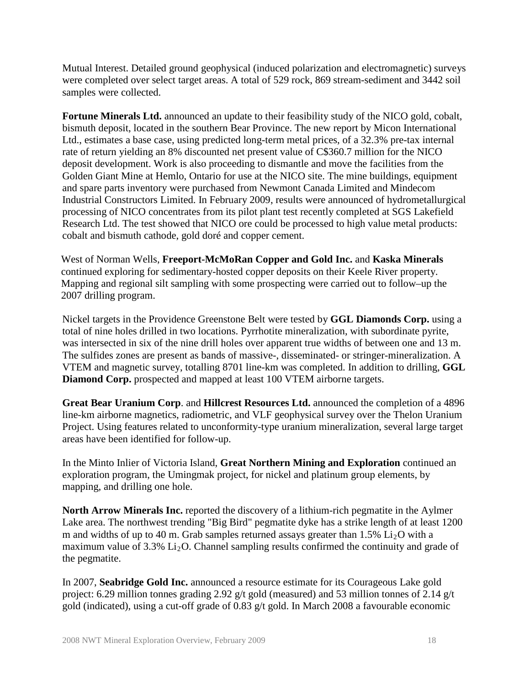Mutual Interest. Detailed ground geophysical (induced polarization and electromagnetic) surveys were completed over select target areas. A total of 529 rock, 869 stream-sediment and 3442 soil samples were collected.

**Fortune Minerals Ltd.** announced an update to their feasibility study of the NICO gold, cobalt, bismuth deposit, located in the southern Bear Province. The new report by Micon International Ltd., estimates a base case, using predicted long-term metal prices, of a 32.3% pre-tax internal rate of return yielding an 8% discounted net present value of C\$360.7 million for the NICO deposit development. Work is also proceeding to dismantle and move the facilities from the Golden Giant Mine at Hemlo, Ontario for use at the NICO site. The mine buildings, equipment and spare parts inventory were purchased from Newmont Canada Limited and Mindecom Industrial Constructors Limited. In February 2009, results were announced of hydrometallurgical processing of NICO concentrates from its pilot plant test recently completed at SGS Lakefield Research Ltd. The test showed that NICO ore could be processed to high value metal products: cobalt and bismuth cathode, gold doré and copper cement.

West of Norman Wells, **Freeport-McMoRan Copper and Gold Inc.** and **Kaska Minerals** continued exploring for sedimentary-hosted copper deposits on their Keele River property. Mapping and regional silt sampling with some prospecting were carried out to follow–up the 2007 drilling program.

Nickel targets in the Providence Greenstone Belt were tested by **GGL Diamonds Corp.** using a total of nine holes drilled in two locations. Pyrrhotite mineralization, with subordinate pyrite, was intersected in six of the nine drill holes over apparent true widths of between one and 13 m. The sulfides zones are present as bands of massive-, disseminated- or stringer-mineralization. A VTEM and magnetic survey, totalling 8701 line-km was completed. In addition to drilling, **GGL Diamond Corp.** prospected and mapped at least 100 VTEM airborne targets.

**Great Bear Uranium Corp**. and **Hillcrest Resources Ltd.** announced the completion of a 4896 line-km airborne magnetics, radiometric, and VLF geophysical survey over the Thelon Uranium Project. Using features related to unconformity-type uranium mineralization, several large target areas have been identified for follow-up.

In the Minto Inlier of Victoria Island, **Great Northern Mining and Exploration** continued an exploration program, the Umingmak project, for nickel and platinum group elements, by mapping, and drilling one hole.

**North Arrow Minerals Inc.** reported the discovery of a lithium-rich pegmatite in the Aylmer Lake area. The northwest trending "Big Bird" pegmatite dyke has a strike length of at least 1200 m and widths of up to 40 m. Grab samples returned assays greater than  $1.5\%$  Li<sub>2</sub>O with a maximum value of  $3.3\%$  Li<sub>2</sub>O. Channel sampling results confirmed the continuity and grade of the pegmatite.

In 2007, **Seabridge Gold Inc.** announced a resource estimate for its Courageous Lake gold project: 6.29 million tonnes grading 2.92 g/t gold (measured) and 53 million tonnes of 2.14 g/t gold (indicated), using a cut-off grade of 0.83 g/t gold. In March 2008 a favourable economic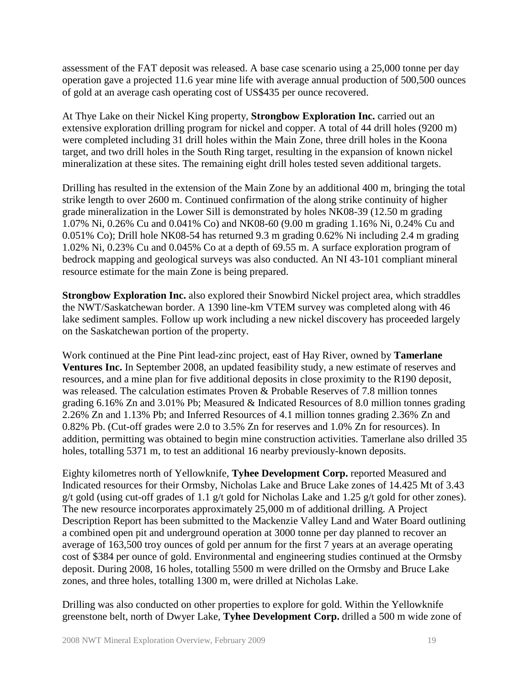assessment of the FAT deposit was released. A base case scenario using a 25,000 tonne per day operation gave a projected 11.6 year mine life with average annual production of 500,500 ounces of gold at an average cash operating cost of US\$435 per ounce recovered.

At Thye Lake on their Nickel King property, **Strongbow Exploration Inc.** carried out an extensive exploration drilling program for nickel and copper. A total of 44 drill holes (9200 m) were completed including 31 drill holes within the Main Zone, three drill holes in the Koona target, and two drill holes in the South Ring target, resulting in the expansion of known nickel mineralization at these sites. The remaining eight drill holes tested seven additional targets.

Drilling has resulted in the extension of the Main Zone by an additional 400 m, bringing the total strike length to over 2600 m. Continued confirmation of the along strike continuity of higher grade mineralization in the Lower Sill is demonstrated by holes NK08-39 (12.50 m grading 1.07% Ni, 0.26% Cu and 0.041% Co) and NK08-60 (9.00 m grading 1.16% Ni, 0.24% Cu and 0.051% Co); Drill hole NK08-54 has returned 9.3 m grading 0.62% Ni including 2.4 m grading 1.02% Ni, 0.23% Cu and 0.045% Co at a depth of 69.55 m. A surface exploration program of bedrock mapping and geological surveys was also conducted. An NI 43-101 compliant mineral resource estimate for the main Zone is being prepared.

**Strongbow Exploration Inc.** also explored their Snowbird Nickel project area, which straddles the NWT/Saskatchewan border. A 1390 line-km VTEM survey was completed along with 46 lake sediment samples. Follow up work including a new nickel discovery has proceeded largely on the Saskatchewan portion of the property.

Work continued at the Pine Pint lead-zinc project, east of Hay River, owned by **Tamerlane Ventures Inc.** In September 2008, an updated feasibility study, a new estimate of reserves and resources, and a mine plan for five additional deposits in close proximity to the R190 deposit, was released. The calculation estimates Proven & Probable Reserves of 7.8 million tonnes grading 6.16% Zn and 3.01% Pb; Measured & Indicated Resources of 8.0 million tonnes grading 2.26% Zn and 1.13% Pb; and Inferred Resources of 4.1 million tonnes grading 2.36% Zn and 0.82% Pb. (Cut-off grades were 2.0 to 3.5% Zn for reserves and 1.0% Zn for resources). In addition, permitting was obtained to begin mine construction activities. Tamerlane also drilled 35 holes, totalling 5371 m, to test an additional 16 nearby previously-known deposits.

Eighty kilometres north of Yellowknife, **Tyhee Development Corp.** reported Measured and Indicated resources for their Ormsby, Nicholas Lake and Bruce Lake zones of 14.425 Mt of 3.43 g/t gold (using cut-off grades of 1.1 g/t gold for Nicholas Lake and 1.25 g/t gold for other zones). The new resource incorporates approximately 25,000 m of additional drilling. A Project Description Report has been submitted to the Mackenzie Valley Land and Water Board outlining a combined open pit and underground operation at 3000 tonne per day planned to recover an average of 163,500 troy ounces of gold per annum for the first 7 years at an average operating cost of \$384 per ounce of gold. Environmental and engineering studies continued at the Ormsby deposit. During 2008, 16 holes, totalling 5500 m were drilled on the Ormsby and Bruce Lake zones, and three holes, totalling 1300 m, were drilled at Nicholas Lake.

Drilling was also conducted on other properties to explore for gold. Within the Yellowknife greenstone belt, north of Dwyer Lake, **Tyhee Development Corp.** drilled a 500 m wide zone of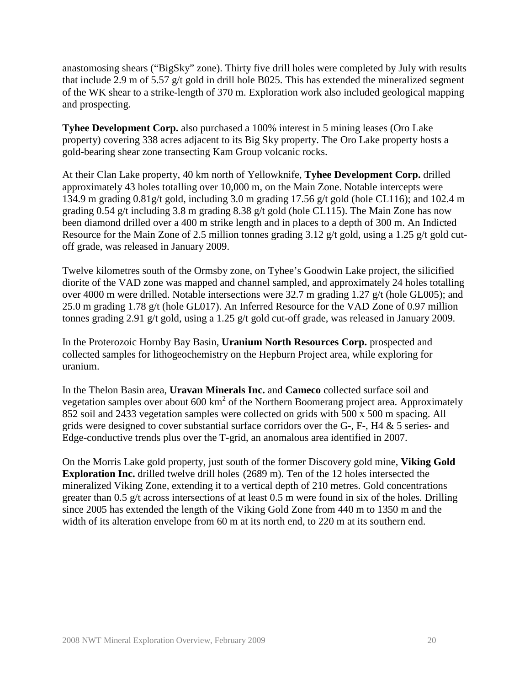anastomosing shears ("BigSky" zone). Thirty five drill holes were completed by July with results that include 2.9 m of 5.57 g/t gold in drill hole B025. This has extended the mineralized segment of the WK shear to a strike-length of 370 m. Exploration work also included geological mapping and prospecting.

**Tyhee Development Corp.** also purchased a 100% interest in 5 mining leases (Oro Lake property) covering 338 acres adjacent to its Big Sky property. The Oro Lake property hosts a gold-bearing shear zone transecting Kam Group volcanic rocks.

At their Clan Lake property, 40 km north of Yellowknife, **Tyhee Development Corp.** drilled approximately 43 holes totalling over 10,000 m, on the Main Zone. Notable intercepts were 134.9 m grading 0.81g/t gold, including 3.0 m grading 17.56 g/t gold (hole CL116); and 102.4 m grading 0.54 g/t including 3.8 m grading 8.38 g/t gold (hole CL115). The Main Zone has now been diamond drilled over a 400 m strike length and in places to a depth of 300 m. An Indicted Resource for the Main Zone of 2.5 million tonnes grading 3.12 g/t gold, using a 1.25 g/t gold cutoff grade, was released in January 2009.

Twelve kilometres south of the Ormsby zone, on Tyhee's Goodwin Lake project, the silicified diorite of the VAD zone was mapped and channel sampled, and approximately 24 holes totalling over 4000 m were drilled. Notable intersections were 32.7 m grading 1.27 g/t (hole GL005); and 25.0 m grading 1.78 g/t (hole GL017). An Inferred Resource for the VAD Zone of 0.97 million tonnes grading 2.91 g/t gold, using a 1.25 g/t gold cut-off grade, was released in January 2009.

In the Proterozoic Hornby Bay Basin, **Uranium North Resources Corp.** prospected and collected samples for lithogeochemistry on the Hepburn Project area, while exploring for uranium.

In the Thelon Basin area, **Uravan Minerals Inc.** and **Cameco** collected surface soil and vegetation samples over about  $600 \text{ km}^2$  of the Northern Boomerang project area. Approximately 852 soil and 2433 vegetation samples were collected on grids with 500 x 500 m spacing. All grids were designed to cover substantial surface corridors over the G-, F-, H4 & 5 series- and Edge-conductive trends plus over the T-grid, an anomalous area identified in 2007.

On the Morris Lake gold property, just south of the former Discovery gold mine, **Viking Gold Exploration Inc.** drilled twelve drill holes (2689 m). Ten of the 12 holes intersected the mineralized Viking Zone, extending it to a vertical depth of 210 metres. Gold concentrations greater than 0.5 g/t across intersections of at least 0.5 m were found in six of the holes. Drilling since 2005 has extended the length of the Viking Gold Zone from 440 m to 1350 m and the width of its alteration envelope from 60 m at its north end, to 220 m at its southern end.